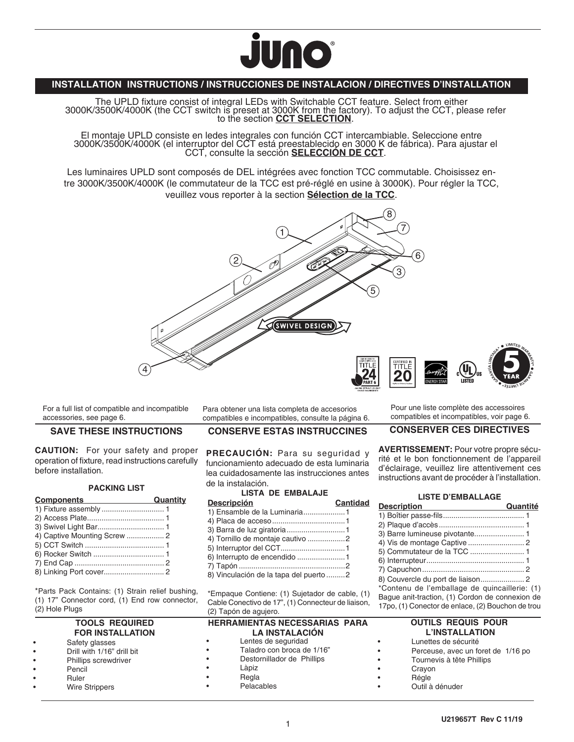

### **INSTALLATION INSTRUCTIONS / INSTRUCCIONES DE INSTALACION / DIRECTIVES D'INSTALLATION**

The UPLD fixture consist of integral LEDs with Switchable CCT feature. Select from either<br>3000K/3500K/4000K (the CCT switch is preset at 3000K from the factory). To adjust the CCT, please refer<br>to the section CCT SELECTION

El montaje UPLD consiste en ledes integrales con función CCT intercambiable. Seleccione entre 3000K/3500K/4000K (el interruptor del CCT está preestablecido en 3000 K de fábrica). Para ajustar el CCT, consulte la sección **SELECCIÓN DE CCT**.

Les luminaires UPLD sont composés de DEL intégrées avec fonction TCC commutable. Choisissez entre 3000K/3500K/4000K (le commutateur de la TCC est pré-réglé en usine à 3000K). Pour régler la TCC, veuillez vous reporter à la section **Sélection de la TCC**.



For a full list of compatible and incompatible accessories, see page 6.

#### **SAVE THESE INSTRUCTIONS**

**CAUTION:** For your safety and proper operation of fixture, read instructions carefully before installation.

#### **PACKING LIST**

| <b>Components</b><br>the control of the control of the control of | Quantity |
|-------------------------------------------------------------------|----------|
|                                                                   |          |
|                                                                   |          |
|                                                                   |          |
|                                                                   |          |
|                                                                   |          |
|                                                                   |          |
|                                                                   |          |
|                                                                   |          |

\*Parts Pack Contains: (1) Strain relief bushing, (1) 17" Connector cord, (1) End row connector, (2) Hole Plugs

### **TOOLS REQUIRED FOR INSTALLATION**

Safety glasses • Drill with 1/16" drill bit Phillips screwdriver • Pencil **Ruler Wire Strippers** 

Para obtener una lista completa de accesorios compatibles e incompatibles, consulte la página 6.

#### **CONSERVE ESTAS INSTRUCCINES**

**PRECAUCIÓN:** Para su seguridad y funcionamiento adecuado de esta luminaria lea cuidadosamente las instrucciones antes de la instalación.

### **LISTA DE EMBALAJE**

| <b>Descripción</b>                     | <b>Cantidad</b> |
|----------------------------------------|-----------------|
| 1) Ensamble de la Luminaria1           |                 |
|                                        |                 |
| 3) Barra de luz giratoria 1            |                 |
| 4) Tornillo de montaje cautivo 2       |                 |
| 5) Interruptor del CCT1                |                 |
| 6) Interrupto de encendido 1           |                 |
|                                        |                 |
| 8) Vinculación de la tapa del puerto 2 |                 |
|                                        |                 |

\*Empaque Contiene: (1) Sujetador de cable, (1) Cable Conectivo de 17", (1) Connecteur de liaison, (2) Tapón de agujero.

|           | <b>HERRAMIENTAS NECESSARIAS PARA</b> |
|-----------|--------------------------------------|
|           | <b>LA INSTALACIÓN</b>                |
| $\bullet$ | Lentes de seguridad                  |
| $\bullet$ | Taladro con broca de 1/16"           |
| $\bullet$ | Destornillador de Phillips           |
| $\bullet$ | Làpiz                                |
| $\bullet$ | Regla                                |
| $\bullet$ | Pelacables                           |
|           |                                      |

Pour une liste complète des accessoires compatibles et incompatibles, voir page 6.

**<sup>L</sup>IMITE<sup>D</sup> <sup>W</sup>ARRANTY**

**GARANT AÍ LIMITADA\* 5**

**AR**<br>WILENASS **\*EÉTI**

#### **CONSERVER CES DIRECTIVES**

**AVERTISSEMENT:** Pour votre propre sécurité et le bon fonctionnement de l'appareil d'éclairage, veuillez lire attentivement ces instructions avant de procéder à l'installation.

#### **LISTE D'EMBALLAGE**

| <b>Description</b>                                | Quantité |
|---------------------------------------------------|----------|
|                                                   |          |
|                                                   |          |
|                                                   |          |
|                                                   |          |
|                                                   |          |
|                                                   |          |
|                                                   |          |
|                                                   |          |
| *Contenu de l'emballage de guincaillerie: (1)     |          |
| Bague anit-traction, (1) Cordon de connexion de   |          |
| 17po, (1) Conector de enlace, (2) Bouchon de trou |          |

#### **OUTILS REQUIS POUR L'INSTALLATION**

- Lunettes de sécurité
- Perceuse, avec un foret de 1/16 po
- Tournevis à tête Phillips
- **Crayon**
- Régle
- Outil à dénuder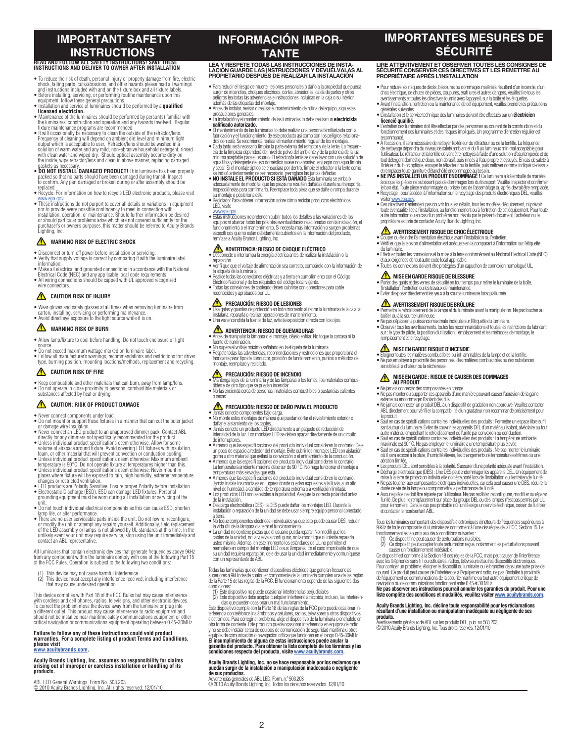# **IMPORTANT SAFETY INSTRUCTIONS**

## **READ AND FOLLOW ALL SAFETY INSTRUCTIONS! SAVE THESE INSTRUCTIONS AND DELIVER TO OWNER AFTER INSTALLATION**

- $\bullet$  To reduce the risk of death, personal injury or property damage from fire, electric<br>shock, falling parts, cuts/abrasions, and other hazards please read all warnings<br>and instructions included with and on the fixture b
- Before installing, servicing, or performing routine maintenance upon this equipment, follow these general precautions. Installation and service of luminaires should be performed by a **qualified**
- **licensed electrician.** Maintenance of the luminaires should be performed by person(s) familiar with
- 
- the luminairs' construction and operation and any hazards involved. Regular<br>fixture maintenance programs are recommended.<br>• It will occasionally be necessary to clean the outside of the refractor/lens.<br>• Frequency of clean solution of warm water and any mild, non-abrasive household detergent, rinsed<br>with clean water and wiped dry. 'Should optical assembly become dirty on<br>the inside, wipe refractor/lens and clean in above manner, replacing da
- gaskets as necessary. **DO NOT INSTALL DAMAGED PRODUCT!** This luminaire has been properly packed so that no parts should have been damaged during transit. Inspect to confirm. Any part damaged or broken during or after assembly should be placed
- Recycle: For information on how to recycle LED electronic products, please visit ww.epa.gov.<br>• These instructions do not purport to cover all details or variations in equipment
- nor to provide every possible contingency to meet in connection with<br>installation, operation, or maintemance. Should further information be desired<br>or should particular problems arise which are not covered sufficiently for Lighting, Inc.

#### **WARNING RISK OF ELECTRIC SHOCK**

- 
- Disconnect or turn off power before installation or servicing. Verify that supply voltage is correct by comparing it with the luminaire label information.
- Make all electrical and grounded connections in accordance with the National Electrical Code (NEC) and any applicable local code requirements. All wiring connections should be capped with UL approved recognized wire connectors.
- **CAUTION RISK OF INJURY**
- Wear gloves and safety glasses at all times when removing luminaire from
- carton, installing, servicing or performing maintenance. Avoid direct eye exposure to the light source while it is on.
- **WARNING RISK OF BURN**
- Allow lamp/fixture to cool before handling. Do not touch enclosure or light
- 
- Do not exceed maximum wattage marked on luminaire label. • Follow all manufacturer's warnings, recommendations and restrictions for: driver type, burning position, mounting locations/methods, replacement and recycling.

#### **CAUTION RISK OF FIRE**

- Keep combustible and other materials that can burn, away from lamp/lens. Do not operate in close proximity to persons, combustible materials or substances affected by heat or drying.
- 

#### **CAUTION: RISK OF PRODUCT DAMAGE**

- Never connect components under load.
- Do not mount or support these fixtures in a manner that can cut the outer jacket or damage wire insulation.
- Never connect an LED product to an unapproved dimmer pack. Contact ABL<br>directly for any dimmers not specifically recommended for the product.<br>• Unless individual product specifications deem otherwise: Allow for some<br>• Vo
- 
- foam, or other material that will prevent convection or conduction cooling.<br>• Unless individual product specifications deem otherwise: Maximum ambient<br>temperature is 90°C. Do not operate fixture at temperatures higher than
- places where fixture will be exposed to rain, high humidity, extreme temperature
- changes or restricted ventilation.<br>• LED products are Polarity Sensitive. Ensure proper Polarity before installation.<br>• Electrostatic Discharge (ESD): ESD can damage LED fixtures. Personal<br>• grounding equipment must be wor
- unit. Do not touch individual electrical components as this can cause ESD, shorten
- lamp life, or alter performance.<br>• There are no user serviceable parts inside the unit. Do not rewire, reconfigure,<br>or modify the unit or attempt any repairs yourself. Additionally, field replacement<br>of the LED assembly or unlikely event your unit may require service, stop using the unit immediately and

contact an ABL representative. All luminaires that contain electronic devices that generate frequencies above 9kHz from any component within the luminaire comply with one of the following Part 15 of the FCC Rules. Operation is subject to the following two conditions:

- 
- (1) This device may not cause harmful interference (2) This device must accept any interference received, including interference that may cause undesired operation.

This device complies with Part 18 of the FCC Rules but may cause interference<br>with cordless and cell phones, radios, televisions, and other electronic devices.<br>To correct the problem move the device away from the luminaire should not be installed near maritime safety communications equipment or other critical navigation or communications equipment operating between 0.45-30MHz.

### **Failure to follow any of these instructions could void product warranties. For a complete listing of product Terms and Conditions, please visit www.acuitybrands.com.**

# **Acuity Brands Lighting, Inc. assumes no responsibility for claims arising out of improper or careless installation or handling of its products.**

ABL LED General Warnings, Form No. 503.203 © 2010 Acuity Brands Lighting, Inc. All rights reserved. 12/01/10

# **INFORMACIÓN IMPOR-TANTE**<br>LEA Y RESPETE TODAS LAS INSTRUCCIONES DE INSTA-

# LEA Y RESPETE TODAS LAS INSTRUCCIONES DE INSTA-<br>LACIÓN GUARDE LAS INSTRUCCIONES Y DEVUÉLVALAS AL<br>PROPIETARIO DESPUÉS DE REALIZAR LA INSTALACIÓN

- Para reducir el riesgo de muerte, lesiones personales o daño a la propiedad que pueda surgir de incendios, choques eléctricos, cortes, abrasiones, caída de partes y otros peligros lea todas las advertencias e instrucciones incluidas en la caja o su interior, además de las etiquetas del montaje.
- Antes de instalar, revisar o realizar el mantenimiento de rutina del equipo, siga estas precauciones generales.
- La instalación y el mantenimiento de las luminarias lo debe realizar un **electricista calificado autorizado.** • El mantenimiento de las luminarias lo debe realizar una persona familiarizada con la
- fabricación y el funcionamiento de este producto así como con los peligros relaciona-<br>dos con este. Se recomienda realizar el mantenimiento regular de los montajes.
- Cada tanto será necesario limpiar la parte externa del refractor y de la lente. La frecuen- cia de la limpieza dependerá del nivel de polvo del ambiente y de la potencia de la luz mínima aceptable para el usuario. El refractor/la lente se debe lavar con una solución de<br>agua tibia y detergente de uso doméstico suave no abrasivo, enjuagar con agua limpia<br>y secar. Si el montaje óptico se ensuciara por
- se indicó anteriormente; de ser necesario, reemplace las juntas dañadas. **NO INSTALE EL PRODUCTO SI ESTÁ DAÑADO** Esta luminaria se embaló adecuadamente de modo tal que las piezas no resulten dañadas durante su transporte. Inspecciónelas para confirmarlo. Reemplace toda pieza que se dañe o rompa durante su montaje o posterior a este.
- Reciclado: Para obtener información sobre cómo reciclar productos electrónicos LED, visite
- www.gau.gov.<br>• Estas instrucciones no pretenden cubrir todos los detalles o las variaciones de los<br>• equipos ni abarcar todas las posibles eventualidades relacionadas con la instalación, el<br>· funcionamiento o el mantenimie remítase a Acuity Brands Lighting, Inc.

# **ADVERTENCIA: RIESGO DE CHOQUE ELÉCTRICO** • Desconecte o interrumpa la energía eléctrica antes de realizar la instalación o la

- reparación. Verifi que que el voltaje de alimentación sea correcto; compárelo con la información de
- la etiqueta de la luminaria. Realice todas las conexiones eléctricas y a tierra en cumplimiento con el Código
- Eléctrico Nacional y de los requisitos del código local vigente. Todas las conexiones de cableado deben cubrirse con conectores para cable
- reconocidos y aprobados por UL.

- **PRECAUCIÓN: RIESGO DE LESIONES** Use gafas y guantes de protección en todo momento al retirar la luminaria de la caja, al instalarla, repararla o realizar operaciones de mantenimiento. • Una vez encendida la fuente de luz, evite la exposición directa con los ojos.
- **ADVERTENCIA: RIESGO DE QUEMADURAS**
- Antes de manipular la lámpara o el montaje, déjelo enfriar. No toque la carcasa ni la
- fuente de iluminación. No supere el voltaje máximo señalado en la etiqueta de la luminaria.
- Respete todas las advertencias, recomendaciones y restricciones que proporciona el fabricante para: tipo de conductor, posición de funcionamiento, puntos o métodos de montaje, reemplazo y reciclado.

# **PRECAUCIÓN: RIESGO DE INCENDIO**<br>• Mantenga lejos de la luminaria y de las lámnaras o l

• Mantenga lejos de la luminaria y de las lámparas o los lentes, los materiales combus-<br>• tibles y de otro tipo que se puedan incendiar.<br>• No las encienda cerca de personas, materiales combustibles o sustancias calientes o secas.

# **PRECAUCIÓN: RIESGO DE DAÑO PARA EL PRODUCTO**

- Jamás conecte componentes bajo carga. No monte estos montajes de manera que puedan cortar el revestimiento exterior o
- 
- dañar el aislamiento de los cables. Jamás conecte un producto LED directamente a un paquete de reducción de intensidad de la luz. Los montajes LED se deben apagar directamente de un circuito
- 
- de interruptores.<br>
A menos que las especificaciones del producto individual consideren lo contrario: Deje<br>
un poco de espacio alrededor del montaje. Evite cubrir los montajes LED con aislación,<br>
goma u otro raterial
- Jamás instale los montajes en lugares donde queden expuestos a la lluvia, a un alto
- nivel de humedad, a cambios de temperatura extrema o a ventilación limitada.<br>● Los productos LED son sensibles a la polaridad. Asegure la correcta polaridad antes<br>de la instalación.<br>● Descarga electrostática (DES): la DES
- instalación o reparación de la unidad se debe usar siempre equipo personal conectado a tierra.
- No toque componentes eléctricos individuales ya que esto puede causar DES, reducir la vida útil de la lámpara o alterar el funcionamiento. La unidad no contiene piezas que el usuario pueda reparar. No modifi que los
- cables de la unidad, no la vuelva a confi gurar, no la modifi que ni intente repararla usted mismo. Además, en este momento los estándares de ÚL no permiten el<br>reemplazo en campo del montaje LED o sus lámparas. En el caso improbable de que<br>su unidad requiera reparación, deje de usar la unidad inmediatamente

Todas las luminarias que contienen dispositivos eléctricos que generan frecuencias superiores a 9kHz desde cualquier componente de la luminaria cumplen una de las reglas de la Parte 15 de las reglas de la FCC. El funcionamiento depende de las siguientes dos condiciones:<br>(1) Este dispositivo no puede ocasionar interferencias perjudiciales

(1) Este dispositivo no puede ocasionar interferencias perjudiciales<br>(2) Este dispositivo debe aceptar cualquier interferencia recibida, incluso, las interferen-<br>cias que pueden ocasionar un mal funcionamiento.

Este dispositivo cumple con la Parte 18 de las reglas de la FCC pero puede cossionar in-<br>terremoia con teléfonos inalámhricos y celulares, radios, televisores y otros dispositivos<br>electrónicos. Para corregir el problema, a

# **Acuity Brands Lighting, Inc. no se hace responsable por los reclamos que puedan surgir de la instalación o manipulación inadecuada o negligente de sus productos.**

**Aductus.**<br>cias generales de ABL LED, Form. n.º 503.203 © 2010 Acuity Brands Lighting, Inc. Todos los derechos reservados. 12/01/10

2

# **IMPORTANTES MESURES DE SÉCURITÉ**

**LIRE ATTENTIVEMENT ET OBSERVER TOUTES LES CONSIGNES DE SÉCURITÉ CONSERVER CES DIRECTIVES ET LES REMETTRE AU PROPRIÉTAIRE APRÈS L'INSTALLATION**

- Pour réduire les risques de décès, blessures ou dommages matériels résultant d'un incendie, d'un choc électrique, de chutes de pièces, coupures, érafl ures et autres dangers, veuillez lire tous les<br>avertissements et toutes les directives fournis avec l'appareil, sur la boîte et les étiquettes.<br>• Avant l'installation,
- générales suivantes.
- L'installation et le service technique des luminaires doivent être effectués par un **électricien licencié qualifié**. • L'entretien des luminaires doit être effectué par des personnes au courant de la construction et du
- fonctionnement des luminaires et des risques impliqués. Un programme d'entretien régulier est
- recommandé.<br>• À l'occasion, il sera nécessaire de nettoyer l'extérieur du réfracteur ou de la lentille. La fréquence<br>de nettoyage dépendra du niveau de saleté ambiant et du fl ux lumineux minimal acceptable pour<br>l'utilisat tout détergent domestique doux, non abrasif, puis rincés à l'eau propre et essuyés. En cas de saleté à l'intérieur du bloc optique, essuyer le réfracteur ou la lentille, puis nettoyer comme indiqué ci-dessus et remplacer toute garniture d'étanchéité endommagée au besoin.
- **NE PAS INSTALLER UN PRODUIT ENDOMMAGÉ !** Ce luminaire a été emballé de manière à ce que les pièces ne subissent pas de dommages lors du transport. Veuillez inspecter et confirmer<br>le bon étal. Toute pièce endommagée ou brissé lors de l'assemblage ou après devrait être remplacés.<br>• Recyclage : pour acc
- visiter www.epa.gov. Ces directives n'entendent pas couvrir tous les détails, tous les modèles d'équipement, ni prévoir toute éventualité liée à l'installation, au fonctionnement ou à l'entretien de cet équipement. Pour toute autre information ou en cas d'un problème non résolu par le présent document, l'acheteur ou le propriétaire est prié de contacter Acuity Brands Lighting, Inc.

### **AVERTISSEMENT RISQUE DE CHOC ÉLECTRIQUE**

- Couper ou éteindre l'alimentation électrique avant l'installation ou l'entretien. Vérifi er que la tension d'alimentation est adéquate en la comparant à l'information sur l'étiquette du luminaire.
- Effectuer toutes les connexions et la mise à la terre conformément au National Electrical Code (NEC) et aux exigences de tout autre code local applicable.
- Toutes les connexions doivent être protégées d'un capuchon de connexion homologué UL.
- **MISE EN GARDE RISQUE DE BLESSURE** 
	- Porter des gants et des verres de sécurité en tout temps pour retirer le luminaire de la boîte, l'installation, l'entretien ou les travaux de maintenance.
	- Éviter d'exposer directement les yeux à la source lumineuse lorsqu'allumée.

le produit.

aération limitée.

et contacter le représentant ABL.

causer un fonctionnement indésirable.

- **41 AVERTISSEMENT RISQUE DE BRULURE<br>• Permettre le refroidissement de la lampe et du luminaire avant la manipulation. Ne pas toucher au<br>boîtier ou à la source lumineuse.**
- Ne pas dépasser la puissance maximale indiquée sur l'étiquette du luminaire. Observer tous les avertissements, toutes les recommandations et toutes les restrictions du fabricant sur : le type de pilote, la position d'utilisation, l'emplacement et les méthodes de montage, le remplacement et le recyclage.

**/// MISE EN GARDE RISQUE D'INCENDIE**<br>• Eloigner toutes les matières combustibles ou infl ammables de la lampe et de la lentille.<br>• Ne pas employer à proximité des personnes, des matières combustibles ou des substances<br>• s

**A MISE EN GARDE : RISQUE DE CAUSER DES DOMMAGES<br>• Ne jamais connecter des composantes en charge.<br>• Ne pas monter ou supporter ces appareils d'une manière pouvant causer l'abrasion de la gaine** 

externe ou endommager l'isolant des fi ls.<br>• Ne jamais connecter un produit DEL à un dispositif de gradation non approuvé. Veuillez contacter<br>• ABL directement pour vérifi er la compatibilité d'un gradateur non recommandé

• Sauf en cas de spécifi cations contraires individuelles des produits : Permettre un espace libre suffi sant autour du luminaire. Éviter de couvrir les appareils DEL d'un matériau isolant, alvéolaire ou tout autre matériau empêchant le refroidissement de l'unité par convexion ou conduction. • Sauf en cas de spécifi cations contraires individuelles des produits : La température ambiante maximale est 90 °C. Ne pas employer le luminaire à une température plus élevée.<br>● Sauf en cas de spécific cations contraires individuelles des produits : Ne pas monter le luminaire<br>• où il sera exposé à la pluie, l'humidi

• Les produits DEL sont sensibles à la polarité. S'assurer d'une polarité adéquate avant l'installation.<br>• Décharge électrostatique (DES) : Une DES peut endormrager les appareils DEL. Un équipement de<br>• més à la terre de p

durée de vie de la lampe ou compromettre la performance de l'unité.<br>• Aucune pièce ne doit être réparée par l'utilisatieur. Ne pas recâbler, reconfi gurer, modifi er ou réparer<br>l'unité. De plus, le remplacement sur place d

Tous les luminaires comportant des dispositifs électroniques émetteurs de fréquences supérieures à 9 kHz de toute composante du luminaire se conforment à l'une des règles de la FCC, Section 15. Le fonctionnement est soumis aux deux conditions suivantes :<br>(1) Ce dispositif ne peut causer de perturbations nuisibles.<br>(2) Ce dispositif peut accepter toute perturbation reçue, notamment les perturbations pouvant

Ce dispositif est conforme à la Section 18 des règles de la FCC, mais peut causer de l'interférence<br>avec les téléphones sans fi l ou cellulaires, radios, téléviseurs et autres dispositifs électroniques.<br>Pour corriger un pr courant. Ce produit peut causer de l'interférence à l'équipement radio, ne pas l'installer à proximité de l'équipement de communications de la sécurité maritime ou tout autre équipement critique de<br>ravigation ou de communications fonctionnant entre 0,45 et 30 MHz.<br>Ne **pas observer ces instructions pourrait annuler les garan** 

**Acuity Brands Lighting, Inc. décline toute responsabilité pour les réclamations résultant d'une installation ou manipulation inadéquate ou négligente de ses** 

**produits.**  Avertissements généraux de ABL sur les produits DEL, pub. no 503.203 © 2010 Acuity Brands Lighting, Inc. Tous droits réservés. 12/01/10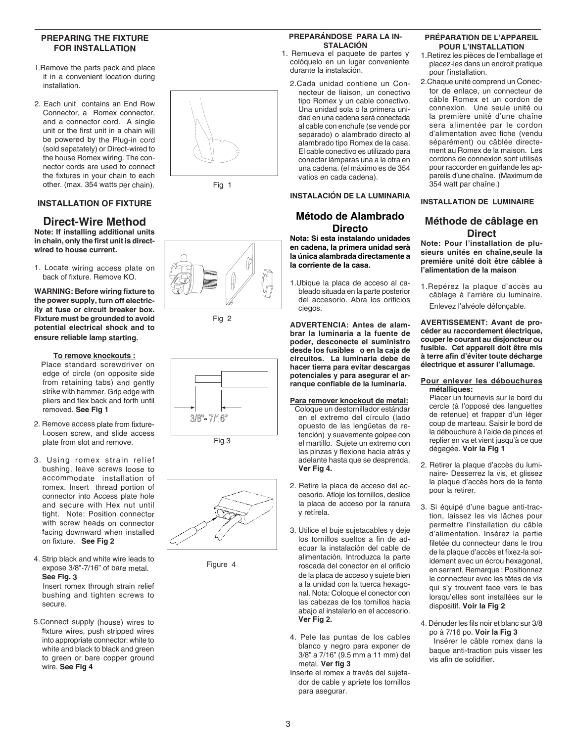#### **PREPARING THE FIXTURE FOR INSTALLATION**

- 1.Remove the parts pack and place it in a convenient location during installation.
- 2. Each unit contains an End Row Connector, a Romex connector, and a connector cord. A single unit or the first unit in a chain will be powered by the Plug-in cord (sold sepatately) or Direct-wired to the house Romex wiring. The con nector cords are used to connect the fixtures in your chain to each other. (max. 354 watts per chain).

### **INSTALLATION OF FIXTURE**

#### **Direct-Wire Method Note: If installing additional units in chain, only the first unit is directwired to house current.**

1. Locate wiring access plate on back of fixture. Remove KO.

**WARNING: Before wiring fixture to the power supply, turn off electric ity at fuse or circuit breaker box. Fixture must be grounded to avoid potential electrical shock and to ensure reliable lamp starting.**

#### **To remove knockouts :**

 Place standard screwdriver on edge of circle (on opposite side from retaining tabs) and gently strike with hammer. Grip edge with pliers and flex back and forth until removed. **See Fig 1**

- 2. Remove access plate from fixture-Loosen screw, and slide access plate from slot and remove.
- 3. Using romex strain relief bushing, leave screws loose to accommodate installation of romex. Insert thread portion of connector into Access plate hole and secure with Hex nut until tight. Note: Position connector with screw heads on connector facing downward when installed on fixture. **See Fig 2**
- 4. Strip black and white wire leads to expose 3/8"-7/16" of bare metal. **See Fig. 3**  Insert romex through strain relief

bushing and tighten screws to secure.

5.Connect supply (house) wires to fixture wires, push stripped wires into appropriate connector: white to white and black to black and green to green or bare copper ground wire. **See Fig 4**

#### **PREPARÁNDOSE PARA LA IN - STALACIÓN**

- 1. Remueva el paquete de partes y colóquelo en un lugar conveniente durante la instalación.
	- 2.Cada unidad contiene un Con necteur de liaison, un conectivo tipo Romex y un cable conectivo. Una unidad sola o la primera uni dad en una cadena será conectada al cable con enchufe (se vende por separado) o alambrado directo al alambrado tipo Romex de la casa. El cable conectivo es utilizado para conectar lámparas una a la otra en una cadena. (el máximo es de 354 vatios en cada cadena) .

#### **INSTALACIÓN DE LA LUMINARIA**

### **Método de Alambrado Directo**

**Nota: Si esta instalando unidades en cadena, la primera unidad serà la única alambrada directamente a la corriente de la casa.** 

1.Ubique la placa de acceso al ca bleado situada en la parte posterior del accesorio. Abra los orificios ciegos.

**ADVERTENCIA: Antes de alam brar la luminaria a la fuente de poder, desconecte el suministro desde los fusibles o en la caja de circuitos. La luminaria debe de hacer tierra para evitar descargas potenciales y para asegurar el ar ranque confiable de la luminaria.**

#### **Para remover knockout de metal:**

- Coloque un destornillador estándar en el extremo del círculo (lado opuesto de las lengüetas de re tención) y suavemente golpee con el martillo. Sujete un extremo con las pinzas y flexione hacia atrás y adelante hasta que se desprenda. **Ver Fig 4.**
- 2. Retire la placa de acceso del ac cesorio. Afloje los tornillos, deslice la placa de acceso por la ranura y retírela.
- 3. Utilice el buje sujetacables y deje los tornillos sueltos a fin de ad ecuar la instalación del cable de alimentación. Introduzca la parte roscada del conector en el orificio de la placa de acceso y sujete bien a la unidad con la tuerca hexago nal. Nota: Coloque el conector con las cabezas de los tornillos hacia abajo al instalarlo en el accesorio. **Ver Fig 2.**
- 4. Pele las puntas de los cables blanco y negro para exponer de 3/8" a 7/16" (9.5 mm a 11 mm) del metal. **Ver fig 3**
- Inserte el romex a través del sujeta dor de cable y apriete los tornillos para asegurar.

#### **PRÉPARATION DE L'APPAREIL POUR L'INSTALLATION**

- 1.Retirez les pièces de l'emballage et placez-les dans un endroit pratique pour l'installation.
- 2.Chaque unité comprend un Conec tor de enlace, un connecteur de câble Romex et un cordon de connexion. Une seule unité ou la première unité d'une chaîne sera alimentée par le cordon d'alimentation avec fiche (vendu séparément) ou câblée directe ment au Romex de la maison. Les cordons de connexion sont utilisés pour raccorder en guirlande les ap pareils d'une chaîne. (Maximum de 354 watt par chaîne.)

#### **INSTALLATION DE LUMINAIRE**

### **Méthode de câblage en Direct**

**Note: Pour l'installation de plu sieurs unités en chaîne,seule la premiére unité doit être câblée à l'alimentation de la maison** 

1.Repérez la plaque d'accès au câblage à l'arrière du luminaire. Enlevez l'alvéole défonçable.

**AVERTISSEMENT: Avant de pro céder au raccordement électrique, couper le courant au disjoncteur ou fusible. Cet appareil doit être mis à terre afin d'éviter toute décharge électrique et assurer l'allumage.**

#### **Pour enlever les débouchures métalliques:**

 Placer un tournevis sur le bord du cercle (à l'opposé des languettes de retenue) et frapper d'un léger coup de marteau. Saisir le bord de la débouchure à l'aide de pinces et replier en va et vient jusqu'à ce que dégagée. **Voir la Fig 1**

- 2. Retirer la plaque d'accès du lumi naire- Desserrez la vis, et glissez la plaque d'accès hors de la fente pour la retirer.
- 3. Si équipé d'une bague anti-trac tion, laissez les vis lâches pour permettre l'installation du câble d'alimentation. Insérez la partie filetée du connecteur dans le trou de la plaque d'accès et fixez-la sol idement avec un écrou hexagonal, en serrant. Remarque : Positionnez le connecteur avec les têtes de vis qui s'y trouvent face vers le bas lorsqu'elles sont installées sur le dispositif. **Voir la Fig 2**
- 4. Dénuder les fils noir et blanc sur 3/8 po à 7/16 po. **Voir la Fig 3** Insérer le câble romex dans la

baque anti-traction puis visser les vis afin de solidifier.



Fig 1

Fig 2





Figure 4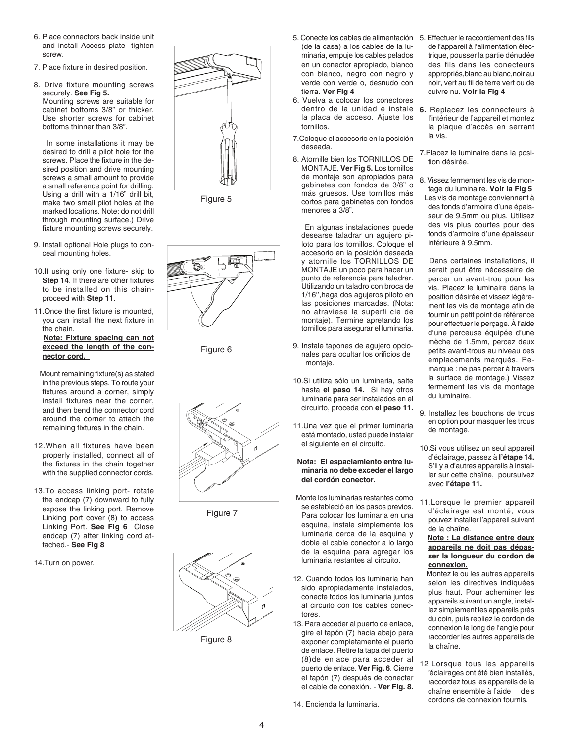- 6. Place connectors back inside unit and install Access plate- tighten screw.
- 7. Place fixture in desired position.
- 8. Drive fixture mounting screws securely. **See Fig 5.** Mounting screws are suitable for cabinet bottoms 3/8" or thicker. Use shorter screws for cabinet bottoms thinner than 3/8".

 In some installations it may be desired to drill a pilot hole for the screws. Place the fixture in the desired position and drive mounting screws a small amount to provide a small reference point for drilling. Using a drill with a 1/16" drill bit, make two small pilot holes at the marked locations. Note: do not drill through mounting surface.) Drive fixture mounting screws securely.

- 9. Install optional Hole plugs to conceal mounting holes.
- 10.If using only one fixture- skip to **Step 14**. If there are other fixtures to be installed on this chainproceed with **Step 11**.
- 11.Once the first fixture is mounted, you can install the next fixture in the chain.

#### **Note: Fixture spacing can not exceed the length of the connector cord.**

 Mount remaining fixture(s) as stated in the previous steps. To route your fixtures around a corner, simply install fixtures near the corner, and then bend the connector cord around the corner to attach the remaining fixtures in the chain.

- 12.When all fixtures have been properly installed, connect all of the fixtures in the chain together with the supplied connector cords.
- 13.To access linking port- rotate the endcap (7) downward to fully expose the linking port. Remove Linking port cover (8) to access Linking Port. **See Fig 6** Close endcap (7) after linking cord attached.- **See Fig 8**
- 14.Turn on power.



Figure 5



Figure 6



Figure 7



Figure 8

- 5. Conecte los cables de alimentación 5. Effectuer le raccordement des fils (de la casa) a los cables de la luminaria, empuje los cables pelados en un conector apropiado, blanco con blanco, negro con negro y verde con verde o, desnudo con tierra. **Ver Fig 4**
- 6. Vuelva a colocar los conectores dentro de la unidad e instale la placa de acceso. Ajuste los tornillos.
- 7.Coloque el accesorio en la posición deseada.
- 8. Atornille bien los TORNILLOS DE MONTAJE. **Ver Fig 5.** Los tornillos de montaje son apropiados para gabinetes con fondos de 3/8" o más gruesos. Use tornillos más cortos para gabinetes con fondos menores a 3/8".

 En algunas instalaciones puede desearse taladrar un agujero piloto para los tornillos. Coloque el accesorio en la posición deseada y atornille los TORNILLOS DE MONTAJE un poco para hacer un punto de referencia para taladrar. Utilizando un taladro con broca de 1/16'',haga dos agujeros piloto en las posiciones marcadas. (Nota: no atraviese la superfi cie de montaje). Termine apretando los tornillos para asegurar el luminaria.

- 9. Instale tapones de agujero opcionales para ocultar los orificios de montaje.
- 10.Si utiliza sólo un luminaria, salte hasta **el paso 14.** Si hay otros luminaria para ser instalados en el circuirto, proceda con **el paso 11.**
- 11.Una vez que el primer luminaria está montado, usted puede instalar el siguiente en el circuito.

#### **Nota: El espaciamiento entre luminaria no debe exceder el largo del cordón conector.**

- Monte los luminarias restantes como se estableció en los pasos previos. Para colocar los luminaria en una esquina, instale simplemente los luminaria cerca de la esquina y doble el cable conector a lo largo de la esquina para agregar los luminaria restantes al circuito.
- 12. Cuando todos los luminaria han sido apropiadamente instalados, conecte todos los luminaria juntos al circuito con los cables conectores.
- 13. Para acceder al puerto de enlace, gire el tapón (7) hacia abajo para exponer completamente el puerto de enlace. Retire la tapa del puerto (8)de enlace para acceder al puerto de enlace. **Ver Fig. 6**. Cierre el tapón (7) después de conectar el cable de conexión. - **Ver Fig. 8.**
- 14. Encienda la luminaria.
- de l'appareil à l'alimentation électrique, pousser la partie dénudée des fils dans les conecteurs appropriés,blanc au blanc,noir au noir, vert au fil de terre vert ou de cuivre nu. **Voir la Fig 4**
- **6.** Replacez les connecteurs à l'intérieur de l'appareil et montez la plaque d'accès en serrant la vis.
- 7.Placez le luminaire dans la position désirée.
- 8. Vissez fermement les vis de montage du luminaire. **Voir la Fig 5** Les vis de montage conviennent à des fonds d'armoire d'une épaisseur de 9.5mm ou plus. Utilisez des vis plus courtes pour des fonds d'armoire d'une épaisseur inférieure à 9.5mm.

 Dans certaines installations, il serait peut être nécessaire de percer un avant-trou pour les vis. Placez le luminaire dans la position désirée et vissez légèrement les vis de montage afin de fournir un petit point de référence pour effectuer le perçage. À l'aide d'une perceuse équipée d'une mèche de 1.5mm, percez deux petits avant-trous au niveau des emplacements marqués. Remarque : ne pas percer à travers la surface de montage.) Vissez fermement les vis de montage du luminaire.

- 9. Installez les bouchons de trous en option pour masquer les trous de montage.
- 10.Si vous utilisez un seul appareil d'éclairage, passez à **l'étape 14.** S'il y a d'autres appareils à installer sur cette chaîne, poursuivez avec **l'étape 11.**
- 11.Lorsque le premier appareil d'éclairage est monté, vous pouvez installer l'appareil suivant de la chaîne.

#### **Note : La distance entre deux appareils ne doit pas dépasser la longueur du cordon de connexion.**

 Montez le ou les autres appareils selon les directives indiquées plus haut. Pour acheminer les appareils suivant un angle, installez simplement les appareils près du coin, puis repliez le cordon de connexion le long de l'angle pour raccorder les autres appareils de la chaîne.

12.Lorsque tous les appareils 'éclairages ont été bien installés, raccordez tous les appareils de la chaîne ensemble à l'aide des cordons de connexion fournis.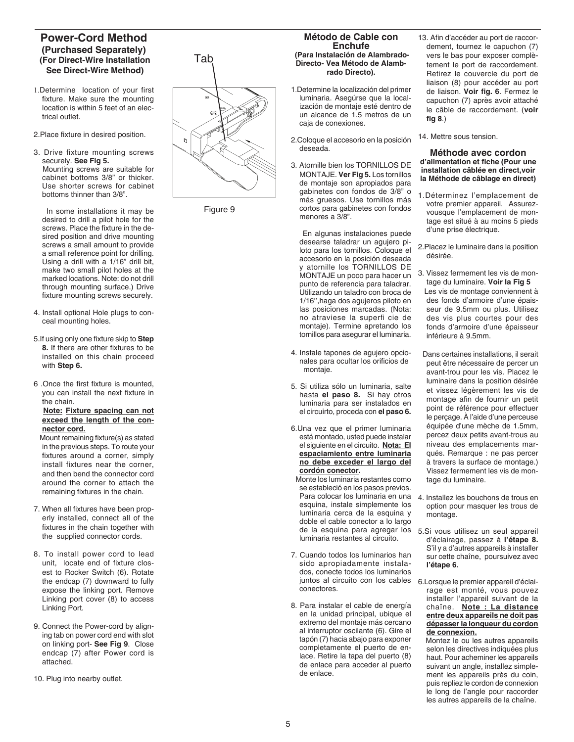### **Power-Cord Method (Purchased Separately) (For Direct-Wire Installation See Direct-Wire Method)**

1.Determine location of your first fixture. Make sure the mounting location is within 5 feet of an electrical outlet.

2.Place fixture in desired position.

3. Drive fixture mounting screws securely. **See Fig 5.** Mounting screws are suitable for cabinet bottoms 3/8" or thicker. Use shorter screws for cabinet bottoms thinner than 3/8".

 In some installations it may be desired to drill a pilot hole for the screws. Place the fixture in the desired position and drive mounting screws a small amount to provide a small reference point for drilling. Using a drill with a 1/16" drill bit, make two small pilot holes at the marked locations. Note: do not drill through mounting surface.) Drive fixture mounting screws securely.

- 4. Install optional Hole plugs to conceal mounting holes.
- 5.If using only one fixture skip to **Step 8.** If there are other fixtures to be installed on this chain proceed with **Step 6.**
- 6 .Once the first fixture is mounted, you can install the next fixture in the chain.

#### **Note: Fixture spacing can not exceed the length of the connector cord.**

 Mount remaining fixture(s) as stated in the previous steps. To route your fixtures around a corner, simply install fixtures near the corner, and then bend the connector cord around the corner to attach the remaining fixtures in the chain.

- 7. When all fixtures have been properly installed, connect all of the fixtures in the chain together with the supplied connector cords.
- 8. To install power cord to lead unit, locate end of fixture closest to Rocker Switch (6). Rotate the endcap (7) downward to fully expose the linking port. Remove Linking port cover (8) to access Linking Port.
- 9. Connect the Power-cord by aligning tab on power cord end with slot on linking port- **See Fig 9**. Close endcap (7) after Power cord is attached.
- 10. Plug into nearby outlet.

Tab

Figure 9

#### **Método de Cable con Enchufe (Para Instalación de Alambrado-Directo- Vea Método de Alambrado Directo).**

- 1.Determine la localización del primer luminaria. Asegúrse que la localización de montaje esté dentro de un alcance de 1.5 metros de un caja de conexiones.
- 2.Coloque el accesorio en la posición deseada.
- 3. Atornille bien los TORNILLOS DE MONTAJE. **Ver Fig 5.** Los tornillos de montaje son apropiados para gabinetes con fondos de 3/8" o más gruesos. Use tornillos más cortos para gabinetes con fondos menores a 3/8".

 En algunas instalaciones puede desearse taladrar un agujero piloto para los tornillos. Coloque el accesorio en la posición deseada y atornille los TORNILLOS DE MONTAJE un poco para hacer un punto de referencia para taladrar. Utilizando un taladro con broca de 1/16'',haga dos agujeros piloto en las posiciones marcadas. (Nota: no atraviese la superfi cie de montaje). Termine apretando los tornillos para asegurar el luminaria.

- 4. Instale tapones de agujero opcionales para ocultar los orificios de montaje.
- 5. Si utiliza sólo un luminaria, salte hasta **el paso 8.** Si hay otros luminaria para ser instalados en el circuirto, proceda con **el paso 6.**
- 6.Una vez que el primer luminaria está montado, usted puede instalar el siguiente en el circuito. **Nota: El espaciamiento entre luminaria no debe exceder el largo del cordón conector.**
- Monte los luminaria restantes como se estableció en los pasos previos. Para colocar los luminaria en una esquina, instale simplemente los luminaria cerca de la esquina y doble el cable conector a lo largo de la esquina para agregar los luminaria restantes al circuito.
- 7. Cuando todos los luminarios han sido apropiadamente instalados, conecte todos los luminarios juntos al circuito con los cables conectores.
- 8. Para instalar el cable de energía en la unidad principal, ubique el extremo del montaje más cercano al interruptor oscilante (6). Gire el tapón (7) hacia abajo para exponer completamente el puerto de enlace. Retire la tapa del puerto (8) de enlace para acceder al puerto de enlace.
- 13. Afin d'accéder au port de raccordement, tournez le capuchon (7) vers le bas pour exposer complètement le port de raccordement. Retirez le couvercle du port de liaison (8) pour accéder au port de liaison. **Voir fig. 6**. Fermez le capuchon (7) après avoir attaché le câble de raccordement. (**voir fig 8**.)
- 14. Mettre sous tension.

**Méthode avec cordon d'alimentation et fiche (Pour une installation câblée en direct,voir la Méthode de câblage en direct)**

- 1.Déterminez l'emplacement de votre premier appareil. Assurezvousque l'emplacement de montage est situé à au moins 5 pieds d'une prise électrique.
- 2.Placez le luminaire dans la position désirée.
- 3. Vissez fermement les vis de montage du luminaire. **Voir la Fig 5** Les vis de montage conviennent à des fonds d'armoire d'une épaisseur de 9.5mm ou plus. Utilisez des vis plus courtes pour des fonds d'armoire d'une épaisseur inférieure à 9.5mm.
- Dans certaines installations, il serait peut être nécessaire de percer un avant-trou pour les vis. Placez le luminaire dans la position désirée et vissez légèrement les vis de montage afin de fournir un petit point de référence pour effectuer le perçage. À l'aide d'une perceuse équipée d'une mèche de 1.5mm, percez deux petits avant-trous au niveau des emplacements marqués. Remarque : ne pas percer à travers la surface de montage.) Vissez fermement les vis de montage du luminaire.
- 4. Installez les bouchons de trous en option pour masquer les trous de montage.
- 5.Si vous utilisez un seul appareil d'éclairage, passez à **l'étape 8.**  S'il y a d'autres appareils à installer sur cette chaîne, poursuivez avec **l'étape 6.**
- 6.Lorsque le premier appareil d'éclairage est monté, vous pouvez installer l'appareil suivant de la chaîne. **Note : La distance entre deux appareils ne doit pas dépasser la longueur du cordon de connexion.**

 Montez le ou les autres appareils selon les directives indiquées plus haut. Pour acheminer les appareils suivant un angle, installez simplement les appareils près du coin, puis repliez le cordon de connexion le long de l'angle pour raccorder les autres appareils de la chaîne.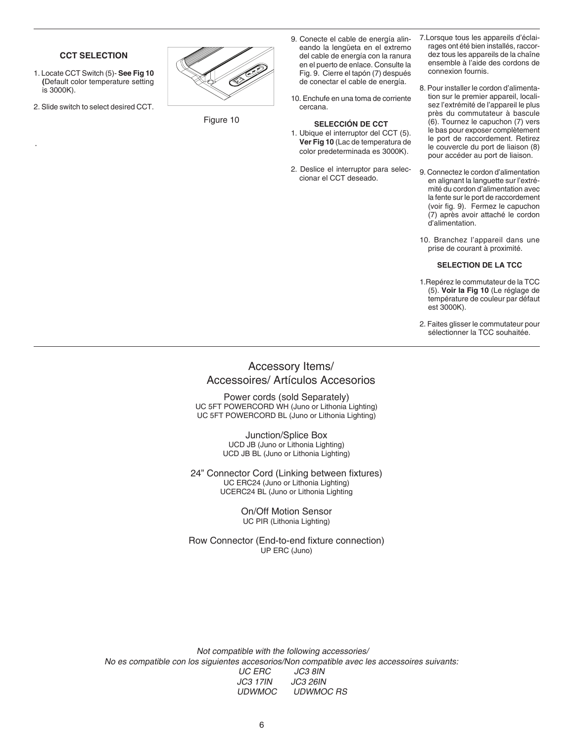#### **CCT SELECTION**

- 1. Locate CCT Switch (5)- **See Fig 10 (**Default color temperature setting is 3000K).
- 2. Slide switch to select desired CCT.

.



Figure 10

- 9. Conecte el cable de energía alineando la lengüeta en el extremo del cable de energía con la ranura en el puerto de enlace. Consulte la Fig. 9. Cierre el tapón (7) después de conectar el cable de energía.
- 10. Enchufe en una toma de corriente cercana.

#### **SELECCIÓN DE CCT**

- 1. Ubique el interruptor del CCT (5). **Ver Fig 10** (Lac de temperatura de color predeterminada es 3000K).
- 2. Deslice el interruptor para seleccionar el CCT deseado.
- 7.Lorsque tous les appareils d'éclairages ont été bien installés, raccordez tous les appareils de la chaîne ensemble à l'aide des cordons de connexion fournis.
- 8. Pour installer le cordon d'alimentation sur le premier appareil, localisez l'extrémité de l'appareil le plus près du commutateur à bascule (6). Tournez le capuchon (7) vers le bas pour exposer complètement le port de raccordement. Retirez le couvercle du port de liaison (8) pour accéder au port de liaison.
- 9. Connectez le cordon d'alimentation en alignant la languette sur l'extrémité du cordon d'alimentation avec la fente sur le port de raccordement (voir fig. 9). Fermez le capuchon (7) après avoir attaché le cordon d'alimentation.
- 10. Branchez l'appareil dans une prise de courant à proximité.

#### **SELECTION DE LA TCC**

- 1.Repérez le commutateur de la TCC (5). **Voir la Fig 10** (Le réglage de température de couleur par défaut est 3000K).
- 2. Faites glisser le commutateur pour sélectionner la TCC souhaitée.

## Accessory Items/ Accessoires/ Artículos Accesorios

Power cords (sold Separately) UC 5FT POWERCORD WH (Juno or Lithonia Lighting) UC 5FT POWERCORD BL (Juno or Lithonia Lighting)

> Junction/Splice Box UCD JB (Juno or Lithonia Lighting) UCD JB BL (Juno or Lithonia Lighting)

24" Connector Cord (Linking between fixtures) UC ERC24 (Juno or Lithonia Lighting) UCERC24 BL (Juno or Lithonia Lighting

#### On/Off Motion Sensor UC PIR (Lithonia Lighting)

Row Connector (End-to-end fixture connection) UP ERC (Juno)

 Not compatible with the following accessories/ No es compatible con los siguientes accesorios/Non compatible avec les accessoires suivants: UC ERC JC3 17IN JC3 26IN UDWMOC UDWMOC RS